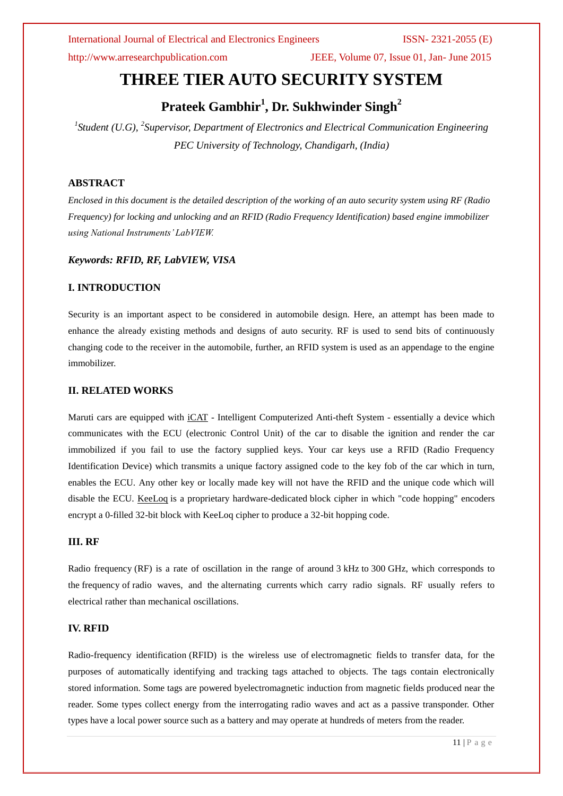International Journal of Electrical and Electronics Engineers ISSN- 2321-2055 (E)

http://www.arresearchpublication.com JEEE, Volume 07, Issue 01, Jan- June 2015

# **THREE TIER AUTO SECURITY SYSTEM**

## **Prateek Gambhir<sup>1</sup> , Dr. Sukhwinder Singh<sup>2</sup>**

<sup>1</sup> Student (U.G), <sup>2</sup> Supervisor, Department of Electronics and Electrical Communication Engineering *PEC University of Technology, Chandigarh, (India)*

### **ABSTRACT**

*Enclosed in this document is the detailed description of the working of an auto security system using RF (Radio Frequency) for locking and unlocking and an RFID (Radio Frequency Identification) based engine immobilizer using National Instruments' LabVIEW.*

### *Keywords: RFID, RF, LabVIEW, VISA*

### **I. INTRODUCTION**

Security is an important aspect to be considered in automobile design. Here, an attempt has been made to enhance the already existing methods and designs of auto security. RF is used to send bits of continuously changing code to the receiver in the automobile, further, an RFID system is used as an appendage to the engine immobilizer.

### **II. RELATED WORKS**

Maruti cars are equipped with iCAT - Intelligent Computerized Anti-theft System - essentially a device which communicates with the ECU (electronic Control Unit) of the car to disable the ignition and render the car immobilized if you fail to use the factory supplied keys. Your car keys use a RFID (Radio Frequency Identification Device) which transmits a unique factory assigned code to the key fob of the car which in turn, enables the ECU. Any other key or locally made key will not have the RFID and the unique code which will disable the ECU. KeeLoq is a proprietary hardware-dedicated [block cipher](http://en.wikipedia.org/wiki/Block_cipher) in which "code hopping" encoders encrypt a 0-filled 32-bit block with KeeLoq cipher to produce a 32-bit [hopping code.](http://en.wikipedia.org/wiki/Hopping_code)

### **III. RF**

Radio frequency (RF) is a rate of oscillation in the range of around 3 [kHz](http://en.wikipedia.org/wiki/Kilohertz) to 300 [GHz,](http://en.wikipedia.org/wiki/Gigahertz) which corresponds to the [frequency](http://en.wikipedia.org/wiki/Frequency) of [radio waves,](http://en.wikipedia.org/wiki/Radio_waves) and the [alternating currents](http://en.wikipedia.org/wiki/Alternating_current) which carry radio signals. RF usually refers to electrical rather than mechanical oscillations.

### **IV. RFID**

Radio-frequency identification (RFID) is the wireless use of [electromagnetic fields](http://en.wikipedia.org/wiki/Electromagnetic_field) to transfer data, for the purposes of automatically identifying and tracking tags attached to objects. The tags contain electronically stored information. Some tags are powered b[yelectromagnetic induction](http://en.wikipedia.org/wiki/Electromagnetic_induction) from magnetic fields produced near the reader. Some types collect energy from the interrogating radio waves and act as a passive transponder. Other types have a local power source such as a battery and may operate at hundreds of meters from the reader.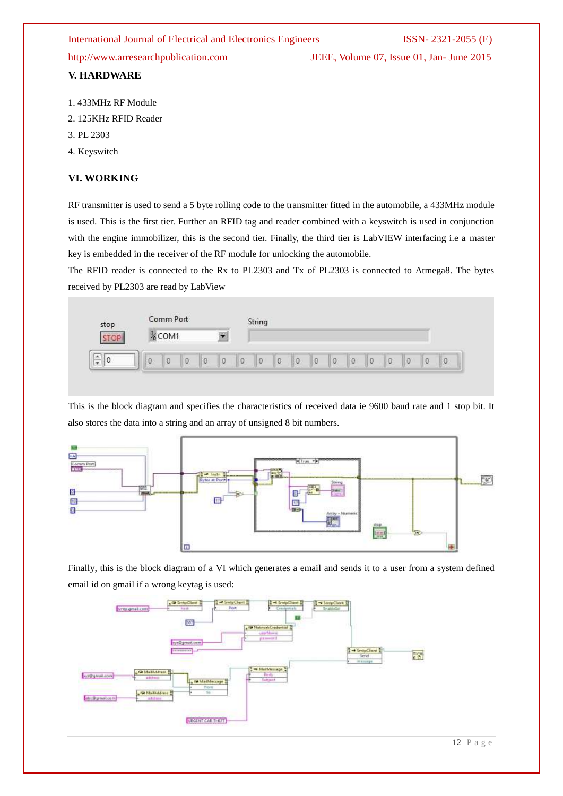### International Journal of Electrical and Electronics Engineers ISSN- 2321-2055 (E)

http://www.arresearchpublication.com JEEE, Volume 07, Issue 01, Jan- June 2015

### **V. HARDWARE**

- 1. 433MHz RF Module
- 2. 125KHz RFID Reader
- 3. PL 2303
- 4. Keyswitch

### **VI. WORKING**

RF transmitter is used to send a 5 byte rolling code to the transmitter fitted in the automobile, a 433MHz module is used. This is the first tier. Further an RFID tag and reader combined with a keyswitch is used in conjunction with the engine immobilizer, this is the second tier. Finally, the third tier is LabVIEW interfacing i.e a master key is embedded in the receiver of the RF module for unlocking the automobile.

The RFID reader is connected to the Rx to PL2303 and Tx of PL2303 is connected to Atmega8. The bytes received by PL2303 are read by LabView



This is the block diagram and specifies the characteristics of received data ie 9600 baud rate and 1 stop bit. It also stores the data into a string and an array of unsigned 8 bit numbers.



Finally, this is the block diagram of a VI which generates a email and sends it to a user from a system defined email id on gmail if a wrong keytag is used: